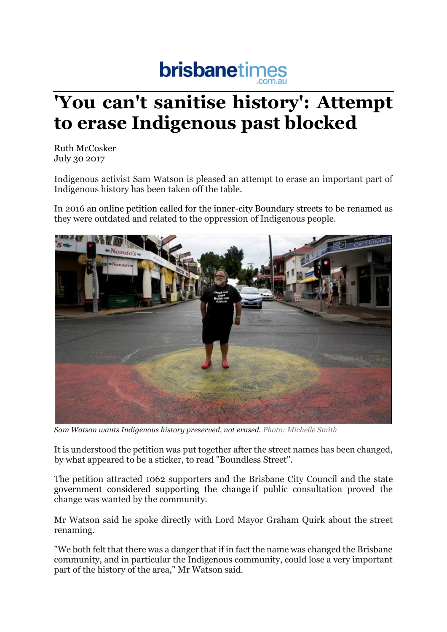## **brisbanetimes**

## **'You can't sanitise history': Attempt to erase Indigenous past blocked**

Ruth McCosker July 30 2017

Indigenous activist Sam Watson is pleased an attempt to erase an important part of Indigenous history has been taken off the table.

In 2016 an online petition called for the inner-city Boundary streets to be renamed as they were outdated and related to the oppression of Indigenous people.



*Sam Watson wants Indigenous history preserved, not erased. Photo: Michelle Smith*

It is understood the petition was put together after the street names has been changed, by what appeared to be a sticker, to read "Boundless Street".

The petition attracted 1062 supporters and the Brisbane City Council and the state government considered supporting the change if public consultation proved the change was wanted by the community.

Mr Watson said he spoke directly with Lord Mayor Graham Quirk about the street renaming.

"We both felt that there was a danger that if in fact the name was changed the Brisbane community, and in particular the Indigenous community, could lose a very important part of the history of the area," Mr Watson said.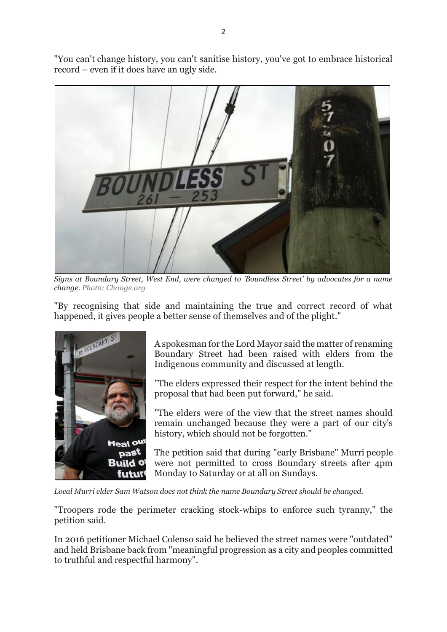"You can't change history, you can't sanitise history, you've got to embrace historical record – even if it does have an ugly side.



*Signs at Boundary Street, West End, were changed to 'Boundless Street' by advocates for a name change. Photo: Change.org*

"By recognising that side and maintaining the true and correct record of what happened, it gives people a better sense of themselves and of the plight."



A spokesman for the Lord Mayor said the matter of renaming Boundary Street had been raised with elders from the Indigenous community and discussed at length.

"The elders expressed their respect for the intent behind the proposal that had been put forward," he said.

"The elders were of the view that the street names should remain unchanged because they were a part of our city's history, which should not be forgotten."

The petition said that during "early Brisbane" Murri people were not permitted to cross Boundary streets after 4pm Monday to Saturday or at all on Sundays.

*Local Murri elder Sam Watson does not think the name Boundary Street should be changed.*

"Troopers rode the perimeter cracking stock-whips to enforce such tyranny," the petition said.

In 2016 petitioner Michael Colenso said he believed the street names were "outdated" and held Brisbane back from "meaningful progression as a city and peoples committed to truthful and respectful harmony".